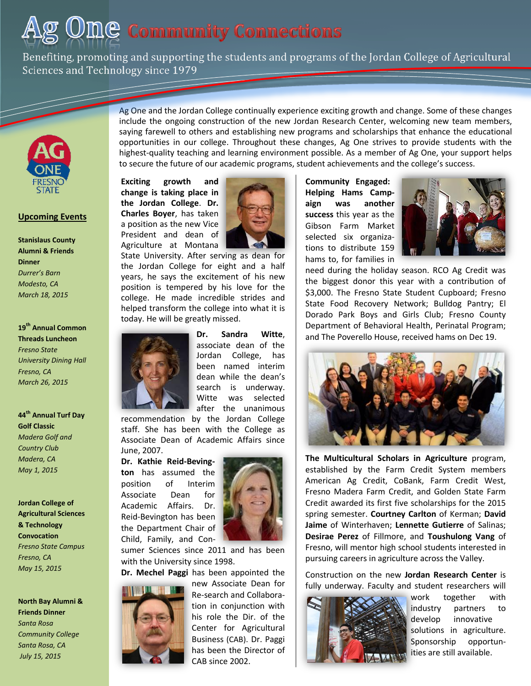# $\mathop{\rm Ome}\nolimits$  Community Connections

Benefiting, promoting and supporting the students and programs of the Jordan College of Agricultural Sciences and Technology since 1979



## **Upcoming Events**

**Stanislaus County Alumni & Friends Dinner**  *Durrer's Barn Modesto, CA March 18, 2015*

**19th Annual Common Threads Luncheon** *Fresno State University Dining Hall Fresno, CA March 26, 2015*

**44th Annual Turf Day Golf Classic** *Madera Golf and Country Club Madera, CA May 1, 2015*

**Jordan College of Agricultural Sciences & Technology Convocation** *Fresno State Campus Fresno, CA May 15, 2015*

**North Bay Alumni & Friends Dinner** *Santa Rosa Community College Santa Rosa, CA July 15, 2015*

Ag One and the Jordan College continually experience exciting growth and change. Some of these changes include the ongoing construction of the new Jordan Research Center, welcoming new team members, saying farewell to others and establishing new programs and scholarships that enhance the educational opportunities in our college. Throughout these changes, Ag One strives to provide students with the highest-quality teaching and learning environment possible. As a member of Ag One, your support helps to secure the future of our academic programs, student achievements and the college's success.

**Exciting growth and change is taking place in the Jordan College**. **Dr. Charles Boyer**, has taken a position as the new Vice President and dean of Agriculture at Montana



State University. After serving as dean for the Jordan College for eight and a half years, he says the excitement of his new position is tempered by his love for the college. He made incredible strides and helped transform the college into what it is today. He will be greatly missed.



**Dr. Sandra Witte**, associate dean of the Jordan College, has been named interim dean while the dean's search is underway. Witte was selected after the unanimous

recommendation by the Jordan College staff. She has been with the College as Associate Dean of Academic Affairs since June, 2007.

**Dr. Kathie Reid-Bevington** has assumed the position of Interim Associate Dean for Academic Affairs. Dr. Reid-Bevington has been the Department Chair of Child, Family, and Con-



sumer Sciences since 2011 and has been with the University since 1998.

**Dr. Mechel Paggi** has been appointed the



new Associate Dean for Re-search and Collaboration in conjunction with his role the Dir. of the Center for Agricultural Business (CAB). Dr. Paggi has been the Director of CAB since 2002.

 **Community Engaged: Helping Hams Campaign was another success** this year as the Gibson Farm Market selected six organizations to distribute 159 hams to, for families in



need during the holiday season. RCO Ag Credit was the biggest donor this year with a contribution of \$3,000. The Fresno State Student Cupboard; Fresno State Food Recovery Network; Bulldog Pantry; El Dorado Park Boys and Girls Club; Fresno County Department of Behavioral Health, Perinatal Program; and The Poverello House, received hams on Dec 19.



**The Multicultural Scholars in Agriculture** program, established by the Farm Credit System members American Ag Credit, CoBank, Farm Credit West, Fresno Madera Farm Credit, and Golden State Farm Credit awarded its first five scholarships for the 2015 spring semester. **Courtney Carlton** of Kerman; **David Jaime** of Winterhaven; **Lennette Gutierre** of Salinas; **Desirae Perez** of Fillmore, and **Toushulong Vang** of Fresno, will mentor high school students interested in pursuing careers in agriculture across the Valley.

Construction on the new **Jordan Research Center** is fully underway. Faculty and student researchers will



work together with industry partners to develop innovative solutions in agriculture. Sponsorship opportunities are still available.